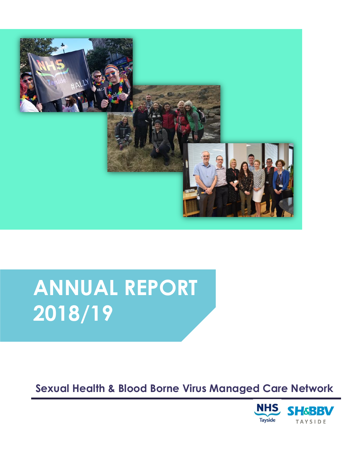

# **ANNUAL REPORT 2018/19**

# **Sexual Health & Blood Borne Virus Managed Care Network**

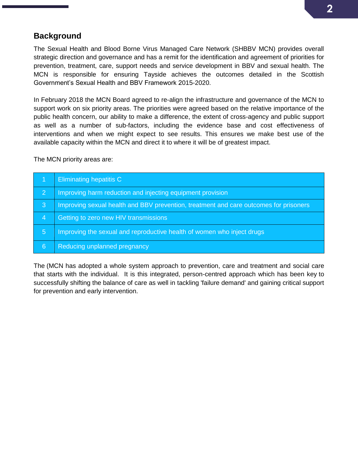# **Background**

The Sexual Health and Blood Borne Virus Managed Care Network (SHBBV MCN) provides overall strategic direction and governance and has a remit for the identification and agreement of priorities for prevention, treatment, care, support needs and service development in BBV and sexual health. The MCN is responsible for ensuring Tayside achieves the outcomes detailed in the Scottish Government's Sexual Health and BBV Framework 2015-2020.

In February 2018 the MCN Board agreed to re-align the infrastructure and governance of the MCN to support work on six priority areas. The priorities were agreed based on the relative importance of the public health concern, our ability to make a difference, the extent of cross-agency and public support as well as a number of sub-factors, including the evidence base and cost effectiveness of interventions and when we might expect to see results. This ensures we make best use of the available capacity within the MCN and direct it to where it will be of greatest impact.

The MCN priority areas are:

|                         | Eliminating hepatitis C                                                               |
|-------------------------|---------------------------------------------------------------------------------------|
| $\overline{2}$          | Improving harm reduction and injecting equipment provision                            |
| $\overline{\mathbf{3}}$ | Improving sexual health and BBV prevention, treatment and care outcomes for prisoners |
| -4                      | Getting to zero new HIV transmissions                                                 |
| 5                       | Improving the sexual and reproductive health of women who inject drugs                |
| 6                       | Reducing unplanned pregnancy                                                          |

The (MCN has adopted a whole system approach to prevention, care and treatment and social care that starts with the individual. It is this integrated, person-centred approach which has been key to successfully shifting the balance of care as well in tackling 'failure demand' and gaining critical support for prevention and early intervention.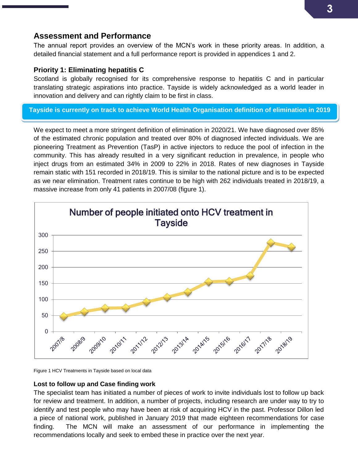# **Assessment and Performance**

The annual report provides an overview of the MCN's work in these priority areas. In addition, a detailed financial statement and a full performance report is provided in appendices 1 and 2.

## **Priority 1: Eliminating hepatitis C**

Scotland is globally recognised for its comprehensive response to hepatitis C and in particular translating strategic aspirations into practice. Tayside is widely acknowledged as a world leader in innovation and delivery and can rightly claim to be first in class.

## **Tayside is currently on track to achieve World Health Organisation definition of elimination in 2019**

We expect to meet a more stringent definition of elimination in 2020/21. We have diagnosed over 85% of the estimated chronic population and treated over 80% of diagnosed infected individuals. We are pioneering Treatment as Prevention (TasP) in active injectors to reduce the pool of infection in the community. This has already resulted in a very significant reduction in prevalence, in people who inject drugs from an estimated 34% in 2009 to 22% in 2018. Rates of new diagnoses in Tayside remain static with 151 recorded in 2018/19. This is similar to the national picture and is to be expected as we near elimination. Treatment rates continue to be high with 262 individuals treated in 2018/19, a massive increase from only 41 patients in 2007/08 (figure 1).



Figure 1 HCV Treatments in Tayside based on local data

### **Lost to follow up and Case finding work**

The specialist team has initiated a number of pieces of work to invite individuals lost to follow up back for review and treatment. In addition, a number of projects, including research are under way to try to identify and test people who may have been at risk of acquiring HCV in the past. Professor Dillon led a piece of national work, published in January 2019 that made eighteen recommendations for case finding. The MCN will make an assessment of our performance in implementing the recommendations locally and seek to embed these in practice over the next year.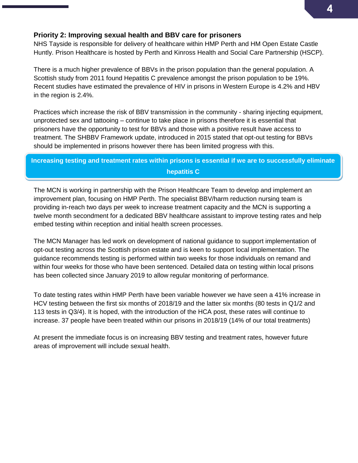## **Priority 2: Improving sexual health and BBV care for prisoners**

NHS Tayside is responsible for delivery of healthcare within HMP Perth and HM Open Estate Castle Huntly. Prison Healthcare is hosted by Perth and Kinross Health and Social Care Partnership (HSCP).

There is a much higher prevalence of BBVs in the prison population than the general population. A Scottish study from 2011 found Hepatitis C prevalence amongst the prison population to be 19%. Recent studies have estimated the prevalence of HIV in prisons in Western Europe is 4.2% and HBV in the region is 2.4%.

Practices which increase the risk of BBV transmission in the community - sharing injecting equipment, unprotected sex and tattooing – continue to take place in prisons therefore it is essential that prisoners have the opportunity to test for BBVs and those with a positive result have access to treatment. The SHBBV Framework update, introduced in 2015 stated that opt-out testing for BBVs should be implemented in prisons however there has been limited progress with this.

# **Increasing testing and treatment rates within prisons is essential if we are to successfully eliminate hepatitis C**

The MCN is working in partnership with the Prison Healthcare Team to develop and implement an improvement plan, focusing on HMP Perth. The specialist BBV/harm reduction nursing team is providing in-reach two days per week to increase treatment capacity and the MCN is supporting a twelve month secondment for a dedicated BBV healthcare assistant to improve testing rates and help embed testing within reception and initial health screen processes.

The MCN Manager has led work on development of national guidance to support implementation of opt-out testing across the Scottish prison estate and is keen to support local implementation. The guidance recommends testing is performed within two weeks for those individuals on remand and within four weeks for those who have been sentenced. Detailed data on testing within local prisons has been collected since January 2019 to allow regular monitoring of performance.

To date testing rates within HMP Perth have been variable however we have seen a 41% increase in HCV testing between the first six months of 2018/19 and the latter six months (80 tests in Q1/2 and 113 tests in Q3/4). It is hoped, with the introduction of the HCA post, these rates will continue to increase. 37 people have been treated within our prisons in 2018/19 (14% of our total treatments)

At present the immediate focus is on increasing BBV testing and treatment rates, however future areas of improvement will include sexual health.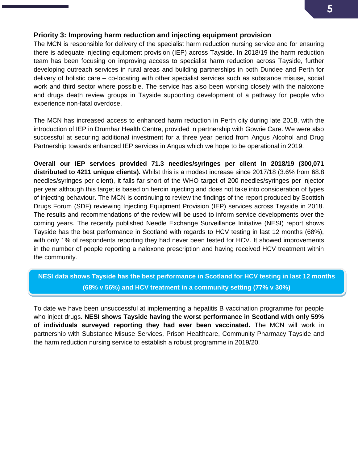## **Priority 3: Improving harm reduction and injecting equipment provision**

The MCN is responsible for delivery of the specialist harm reduction nursing service and for ensuring there is adequate injecting equipment provision (IEP) across Tayside. In 2018/19 the harm reduction team has been focusing on improving access to specialist harm reduction across Tayside, further developing outreach services in rural areas and building partnerships in both Dundee and Perth for delivery of holistic care – co-locating with other specialist services such as substance misuse, social work and third sector where possible. The service has also been working closely with the naloxone and drugs death review groups in Tayside supporting development of a pathway for people who experience non-fatal overdose.

The MCN has increased access to enhanced harm reduction in Perth city during late 2018, with the introduction of IEP in Drumhar Health Centre, provided in partnership with Gowrie Care. We were also successful at securing additional investment for a three year period from Angus Alcohol and Drug Partnership towards enhanced IEP services in Angus which we hope to be operational in 2019.

**Overall our IEP services provided 71.3 needles/syringes per client in 2018/19 (300,071 distributed to 4211 unique clients).** Whilst this is a modest increase since 2017/18 (3.6% from 68.8 needles/syringes per client), it falls far short of the WHO target of 200 needles/syringes per injector per year although this target is based on heroin injecting and does not take into consideration of types of injecting behaviour. The MCN is continuing to review the findings of the report produced by Scottish Drugs Forum (SDF) reviewing Injecting Equipment Provision (IEP) services across Tayside in 2018. The results and recommendations of the review will be used to inform service developments over the coming years. The recently published Needle Exchange Surveillance Initiative (NESI) report shows Tayside has the best performance in Scotland with regards to HCV testing in last 12 months (68%), with only 1% of respondents reporting they had never been tested for HCV. It showed improvements in the number of people reporting a naloxone prescription and having received HCV treatment within the community.

# **NESI data shows Tayside has the best performance in Scotland for HCV testing in last 12 months (68% v 56%) and HCV treatment in a community setting (77% v 30%)**

To date we have been unsuccessful at implementing a hepatitis B vaccination programme for people who inject drugs. **NESI shows Tayside having the worst performance in Scotland with only 59% of individuals surveyed reporting they had ever been vaccinated.** The MCN will work in partnership with Substance Misuse Services, Prison Healthcare, Community Pharmacy Tayside and the harm reduction nursing service to establish a robust programme in 2019/20.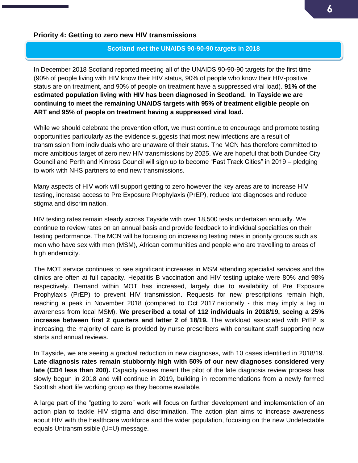## **Priority 4: Getting to zero new HIV transmissions**

#### **Scotland met the UNAIDS 90-90-90 targets in 2018**

In December 2018 Scotland reported meeting all of the UNAIDS 90-90-90 targets for the first time (90% of people living with HIV know their HIV status, 90% of people who know their HIV-positive status are on treatment, and 90% of people on treatment have a suppressed viral load). **91% of the estimated population living with HIV has been diagnosed in Scotland. In Tayside we are continuing to meet the remaining UNAIDS targets with 95% of treatment eligible people on ART and 95% of people on treatment having a suppressed viral load.**

While we should celebrate the prevention effort, we must continue to encourage and promote testing opportunities particularly as the evidence suggests that most new infections are a result of transmission from individuals who are unaware of their status. The MCN has therefore committed to more ambitious target of zero new HIV transmissions by 2025. We are hopeful that both Dundee City Council and Perth and Kinross Council will sign up to become "Fast Track Cities" in 2019 – pledging to work with NHS partners to end new transmissions.

Many aspects of HIV work will support getting to zero however the key areas are to increase HIV testing, increase access to Pre Exposure Prophylaxis (PrEP), reduce late diagnoses and reduce stigma and discrimination.

HIV testing rates remain steady across Tayside with over 18,500 tests undertaken annually. We continue to review rates on an annual basis and provide feedback to individual specialties on their testing performance. The MCN will be focusing on increasing testing rates in priority groups such as men who have sex with men (MSM), African communities and people who are travelling to areas of high endemicity.

The MOT service continues to see significant increases in MSM attending specialist services and the clinics are often at full capacity. Hepatitis B vaccination and HIV testing uptake were 80% and 98% respectively. Demand within MOT has increased, largely due to availability of Pre Exposure Prophylaxis (PrEP) to prevent HIV transmission. Requests for new prescriptions remain high, reaching a peak in November 2018 (compared to Oct 2017 nationally - this may imply a lag in awareness from local MSM). **We prescribed a total of 112 individuals in 2018/19, seeing a 25% increase between first 2 quarters and latter 2 of 18/19.** The workload associated with PrEP is increasing, the majority of care is provided by nurse prescribers with consultant staff supporting new starts and annual reviews.

In Tayside, we are seeing a gradual reduction in new diagnoses, with 10 cases identified in 2018/19. **Late diagnosis rates remain stubbornly high with 50% of our new diagnoses considered very late (CD4 less than 200).** Capacity issues meant the pilot of the late diagnosis review process has slowly begun in 2018 and will continue in 2019, building in recommendations from a newly formed Scottish short life working group as they become available.

A large part of the "getting to zero" work will focus on further development and implementation of an action plan to tackle HIV stigma and discrimination. The action plan aims to increase awareness about HIV with the healthcare workforce and the wider population, focusing on the new Undetectable equals Untransmissible (U=U) message.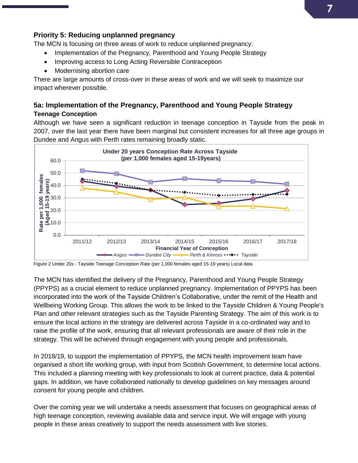# **7**

## **Priority 5: Reducing unplanned pregnancy**

The MCN is focusing on three areas of work to reduce unplanned pregnancy:

- Implementation of the Pregnancy, Parenthood and Young People Strategy
- Improving access to Long Acting Reversible Contraception
- Modernising abortion care

There are large amounts of cross-over in these areas of work and we will seek to maximize our impact wherever possible.

## **5a: Implementation of the Pregnancy, Parenthood and Young People Strategy Teenage Conception**

Although we have seen a significant reduction in teenage conception in Tayside from the peak in 2007, over the last year there have been marginal but consistent increases for all three age groups in Dundee and Angus with Perth rates remaining broadly static.



Figure 2 Under 20s - Tayside Teenage Conception Rate (per 1,000 females aged 15-19 years) Local data

The MCN has identified the delivery of the Pregnancy, Parenthood and Young People Strategy (PPYPS) as a crucial element to reduce unplanned pregnancy. Implementation of PPYPS has been incorporated into the work of the Tayside Children's Collaborative, under the remit of the Health and Wellbeing Working Group. This allows the work to be linked to the Tayside Children & Young People's Plan and other relevant strategies such as the Tayside Parenting Strategy. The aim of this work is to ensure the local actions in the strategy are delivered across Tayside in a co-ordinated way and to raise the profile of the work, ensuring that all relevant professionals are aware of their role in the strategy. This will be achieved through engagement with young people and professionals.

In 2018/19, to support the implementation of PPYPS, the MCN health improvement team have organised a short life working group, with input from Scottish Government, to determine local actions. This included a planning meeting with key professionals to look at current practice, data & potential gaps. In addition, we have collaborated nationally to develop guidelines on key messages around consent for young people and children.

Over the coming year we will undertake a needs assessment that focuses on geographical areas of high teenage conception, reviewing available data and service input. We will engage with young people in these areas creatively to support the needs assessment with live stories.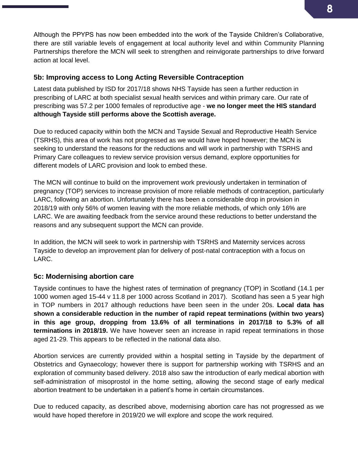Although the PPYPS has now been embedded into the work of the Tayside Children's Collaborative, there are still variable levels of engagement at local authority level and within Community Planning Partnerships therefore the MCN will seek to strengthen and reinvigorate partnerships to drive forward action at local level.

## **5b: Improving access to Long Acting Reversible Contraception**

Latest data published by ISD for 2017/18 shows NHS Tayside has seen a further reduction in prescribing of LARC at both specialist sexual health services and within primary care. Our rate of prescribing was 57.2 per 1000 females of reproductive age - **we no longer meet the HIS standard although Tayside still performs above the Scottish average.** 

Due to reduced capacity within both the MCN and Tayside Sexual and Reproductive Health Service (TSRHS), this area of work has not progressed as we would have hoped however; the MCN is seeking to understand the reasons for the reductions and will work in partnership with TSRHS and Primary Care colleagues to review service provision versus demand, explore opportunities for different models of LARC provision and look to embed these.

The MCN will continue to build on the improvement work previously undertaken in termination of pregnancy (TOP) services to increase provision of more reliable methods of contraception, particularly LARC, following an abortion. Unfortunately there has been a considerable drop in provision in 2018/19 with only 56% of women leaving with the more reliable methods, of which only 16% are LARC. We are awaiting feedback from the service around these reductions to better understand the reasons and any subsequent support the MCN can provide.

In addition, the MCN will seek to work in partnership with TSRHS and Maternity services across Tayside to develop an improvement plan for delivery of post-natal contraception with a focus on LARC.

# **5c: Modernising abortion care**

Tayside continues to have the highest rates of termination of pregnancy (TOP) in Scotland (14.1 per 1000 women aged 15-44 v 11.8 per 1000 across Scotland in 2017). Scotland has seen a 5 year high in TOP numbers in 2017 although reductions have been seen in the under 20s. **Local data has shown a considerable reduction in the number of rapid repeat terminations (within two years) in this age group, dropping from 13.6% of all terminations in 2017/18 to 5.3% of all terminations in 2018/19.** We have however seen an increase in rapid repeat terminations in those aged 21-29. This appears to be reflected in the national data also.

Abortion services are currently provided within a hospital setting in Tayside by the department of Obstetrics and Gynaecology; however there is support for partnership working with TSRHS and an exploration of community based delivery. 2018 also saw the introduction of early medical abortion with self-administration of misoprostol in the home setting, allowing the second stage of early medical abortion treatment to be undertaken in a patient's home in certain circumstances.

Due to reduced capacity, as described above, modernising abortion care has not progressed as we would have hoped therefore in 2019/20 we will explore and scope the work required.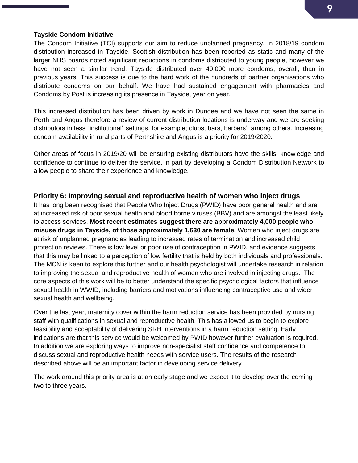#### **Tayside Condom Initiative**

The Condom Initiative (TCI) supports our aim to reduce unplanned pregnancy. In 2018/19 condom distribution increased in Tayside. Scottish distribution has been reported as static and many of the larger NHS boards noted significant reductions in condoms distributed to young people, however we have not seen a similar trend. Tayside distributed over 40,000 more condoms, overall, than in previous years. This success is due to the hard work of the hundreds of partner organisations who distribute condoms on our behalf. We have had sustained engagement with pharmacies and Condoms by Post is increasing its presence in Tayside, year on year.

This increased distribution has been driven by work in Dundee and we have not seen the same in Perth and Angus therefore a review of current distribution locations is underway and we are seeking distributors in less "institutional" settings, for example; clubs, bars, barbers', among others. Increasing condom availability in rural parts of Perthshire and Angus is a priority for 2019/2020.

Other areas of focus in 2019/20 will be ensuring existing distributors have the skills, knowledge and confidence to continue to deliver the service, in part by developing a Condom Distribution Network to allow people to share their experience and knowledge.

## **Priority 6: Improving sexual and reproductive health of women who inject drugs**

It has long been recognised that People Who Inject Drugs (PWID) have poor general health and are at increased risk of poor sexual health and blood borne viruses (BBV) and are amongst the least likely to access services. **Most recent estimates suggest there are approximately 4,000 people who misuse drugs in Tayside, of those approximately 1,630 are female.** Women who inject drugs are at risk of unplanned pregnancies leading to increased rates of termination and increased child protection reviews. There is low level or poor use of contraception in PWID, and evidence suggests that this may be linked to a perception of low fertility that is held by both individuals and professionals. The MCN is keen to explore this further and our health psychologist will undertake research in relation to improving the sexual and reproductive health of women who are involved in injecting drugs. The core aspects of this work will be to better understand the specific psychological factors that influence sexual health in WWID, including barriers and motivations influencing contraceptive use and wider sexual health and wellbeing.

Over the last year, maternity cover within the harm reduction service has been provided by nursing staff with qualifications in sexual and reproductive health. This has allowed us to begin to explore feasibility and acceptability of delivering SRH interventions in a harm reduction setting. Early indications are that this service would be welcomed by PWID however further evaluation is required. In addition we are exploring ways to improve non-specialist staff confidence and competence to discuss sexual and reproductive health needs with service users. The results of the research described above will be an important factor in developing service delivery.

The work around this priority area is at an early stage and we expect it to develop over the coming two to three years.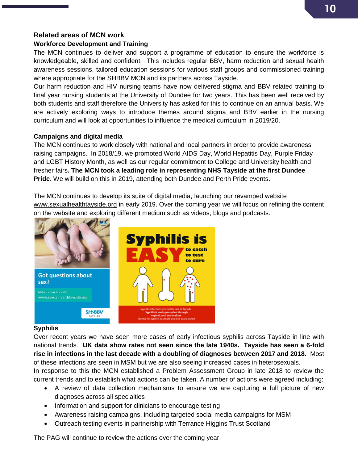# **Related areas of MCN work**

## **Workforce Development and Training**

The MCN continues to deliver and support a programme of education to ensure the workforce is knowledgeable, skilled and confident. This includes regular BBV, harm reduction and sexual health awareness sessions, tailored education sessions for various staff groups and commissioned training where appropriate for the SHBBV MCN and its partners across Tayside.

Our harm reduction and HIV nursing teams have now delivered stigma and BBV related training to final year nursing students at the University of Dundee for two years. This has been well received by both students and staff therefore the University has asked for this to continue on an annual basis. We are actively exploring ways to introduce themes around stigma and BBV earlier in the nursing curriculum and will look at opportunities to influence the medical curriculum in 2019/20.

## **Campaigns and digital media**

The MCN continues to work closely with national and local partners in order to provide awareness raising campaigns. In 2018/19, we promoted World AIDS Day, World Hepatitis Day, Purple Friday and LGBT History Month, as well as our regular commitment to College and University health and fresher fairs**. The MCN took a leading role in representing NHS Tayside at the first Dundee Pride**. We will build on this in 2019, attending both Dundee and Perth Pride events.

The MCN continues to develop its suite of digital media, launching our revamped website [www.sexualhealthtayside.org](http://www.sexualhealthtayside.org/) in early 2019. Over the coming year we will focus on refining the content on the website and exploring different medium such as videos, blogs and podcasts.



### **Syphilis**

Over recent years we have seen more cases of early infectious syphilis across Tayside in line with national trends. **UK data show rates not seen since the late 1940s. Tayside has seen a 6-fold rise in infections in the last decade with a doubling of diagnoses between 2017 and 2018.** Most of these infections are seen in MSM but we are also seeing increased cases in heterosexuals.

In response to this the MCN established a Problem Assessment Group in late 2018 to review the current trends and to establish what actions can be taken. A number of actions were agreed including:

- A review of data collection mechanisms to ensure we are capturing a full picture of new diagnoses across all specialties
- Information and support for clinicians to encourage testing
- Awareness raising campaigns, including targeted social media campaigns for MSM
- Outreach testing events in partnership with Terrance Higgins Trust Scotland

The PAG will continue to review the actions over the coming year.